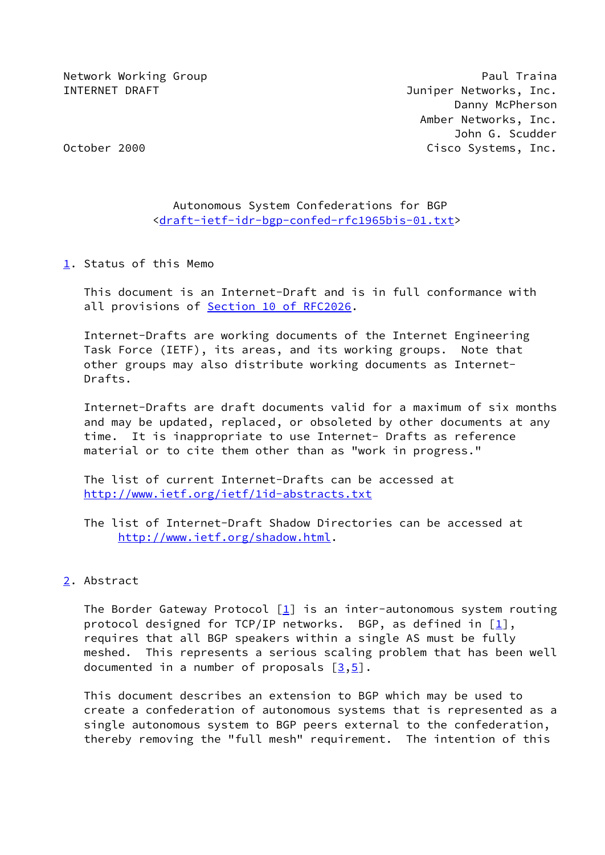Network Working Group **Paul Traina** INTERNET DRAFT **Internal Contract Contract Contract Contract Contract Contract Contract Contract Contract Contract Contract Contract Contract Contract Contract Contract Contract Contract Contract Contract Contract Contract**  Danny McPherson Amber Networks, Inc. John G. Scudder October 2000 **Cisco Systems, Inc.** 

# Autonomous System Confederations for BGP <[draft-ietf-idr-bgp-confed-rfc1965bis-01.txt](https://datatracker.ietf.org/doc/pdf/draft-ietf-idr-bgp-confed-rfc1965bis-01.txt)>

<span id="page-0-0"></span>[1](#page-0-0). Status of this Memo

 This document is an Internet-Draft and is in full conformance with all provisions of Section [10 of RFC2026.](https://datatracker.ietf.org/doc/pdf/rfc2026#section-10)

 Internet-Drafts are working documents of the Internet Engineering Task Force (IETF), its areas, and its working groups. Note that other groups may also distribute working documents as Internet- Drafts.

 Internet-Drafts are draft documents valid for a maximum of six months and may be updated, replaced, or obsoleted by other documents at any time. It is inappropriate to use Internet- Drafts as reference material or to cite them other than as "work in progress."

 The list of current Internet-Drafts can be accessed at <http://www.ietf.org/ietf/1id-abstracts.txt>

 The list of Internet-Draft Shadow Directories can be accessed at <http://www.ietf.org/shadow.html>.

# <span id="page-0-1"></span>[2](#page-0-1). Abstract

The Border Gateway Protocol  $[1]$  $[1]$  is an inter-autonomous system routing protocol designed for TCP/IP networks. BGP, as defined in  $[1]$  $[1]$ , requires that all BGP speakers within a single AS must be fully meshed. This represents a serious scaling problem that has been well documented in a number of proposals  $\lceil 3, 5 \rceil$ .

 This document describes an extension to BGP which may be used to create a confederation of autonomous systems that is represented as a single autonomous system to BGP peers external to the confederation, thereby removing the "full mesh" requirement. The intention of this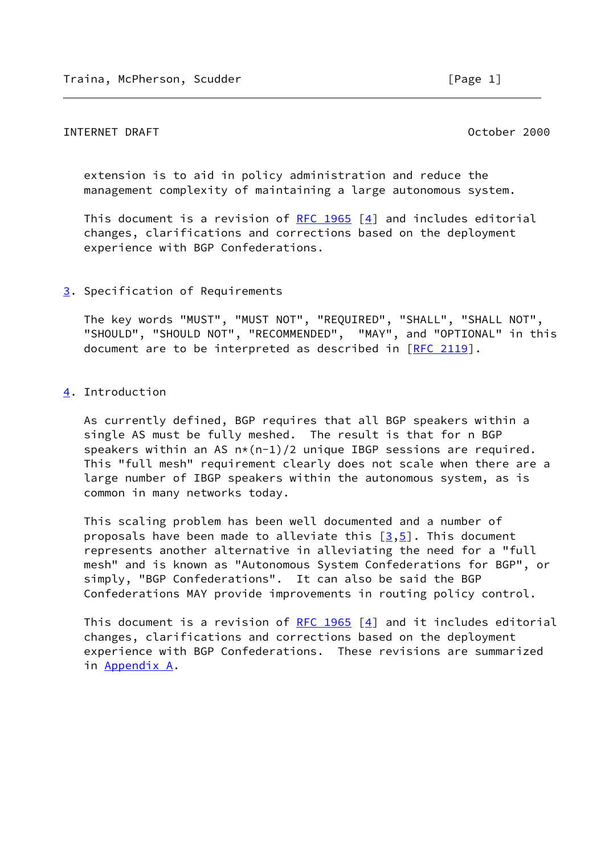# INTERNET DRAFT October 2000

 extension is to aid in policy administration and reduce the management complexity of maintaining a large autonomous system.

This document is a revision of [RFC 1965](https://datatracker.ietf.org/doc/pdf/rfc1965)  $[4]$  $[4]$  and includes editorial changes, clarifications and corrections based on the deployment experience with BGP Confederations.

## <span id="page-1-0"></span>[3](#page-1-0). Specification of Requirements

 The key words "MUST", "MUST NOT", "REQUIRED", "SHALL", "SHALL NOT", "SHOULD", "SHOULD NOT", "RECOMMENDED", "MAY", and "OPTIONAL" in this document are to be interpreted as described in [\[RFC 2119](https://datatracker.ietf.org/doc/pdf/rfc2119)].

## <span id="page-1-1"></span>[4](#page-1-1). Introduction

 As currently defined, BGP requires that all BGP speakers within a single AS must be fully meshed. The result is that for n BGP speakers within an AS  $n*(n-1)/2$  unique IBGP sessions are required. This "full mesh" requirement clearly does not scale when there are a large number of IBGP speakers within the autonomous system, as is common in many networks today.

 This scaling problem has been well documented and a number of proposals have been made to alleviate this  $[3,5]$  $[3,5]$  $[3,5]$ . This document represents another alternative in alleviating the need for a "full mesh" and is known as "Autonomous System Confederations for BGP", or simply, "BGP Confederations". It can also be said the BGP Confederations MAY provide improvements in routing policy control.

This document is a revision of RFC  $1965$  [\[4](#page-9-3)] and it includes editorial changes, clarifications and corrections based on the deployment experience with BGP Confederations. These revisions are summarized in Appendix A.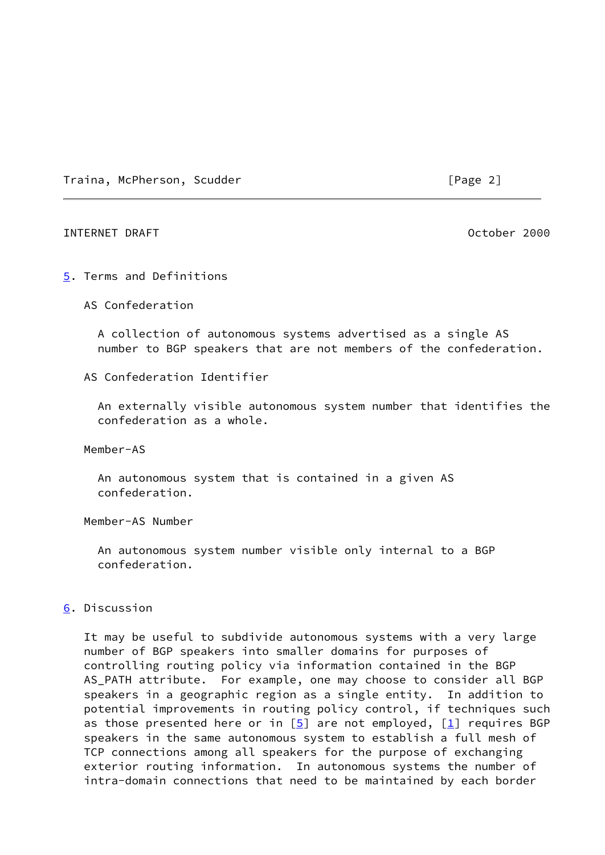Traina, McPherson, Scudder [Page 2]

## INTERNET DRAFT October 2000

#### <span id="page-2-0"></span>[5](#page-2-0). Terms and Definitions

AS Confederation

 A collection of autonomous systems advertised as a single AS number to BGP speakers that are not members of the confederation.

## AS Confederation Identifier

 An externally visible autonomous system number that identifies the confederation as a whole.

Member-AS

 An autonomous system that is contained in a given AS confederation.

Member-AS Number

 An autonomous system number visible only internal to a BGP confederation.

# <span id="page-2-1"></span>[6](#page-2-1). Discussion

 It may be useful to subdivide autonomous systems with a very large number of BGP speakers into smaller domains for purposes of controlling routing policy via information contained in the BGP AS\_PATH attribute. For example, one may choose to consider all BGP speakers in a geographic region as a single entity. In addition to potential improvements in routing policy control, if techniques such as those presented here or in  $[5]$  $[5]$  are not employed,  $[1]$  $[1]$  requires BGP speakers in the same autonomous system to establish a full mesh of TCP connections among all speakers for the purpose of exchanging exterior routing information. In autonomous systems the number of intra-domain connections that need to be maintained by each border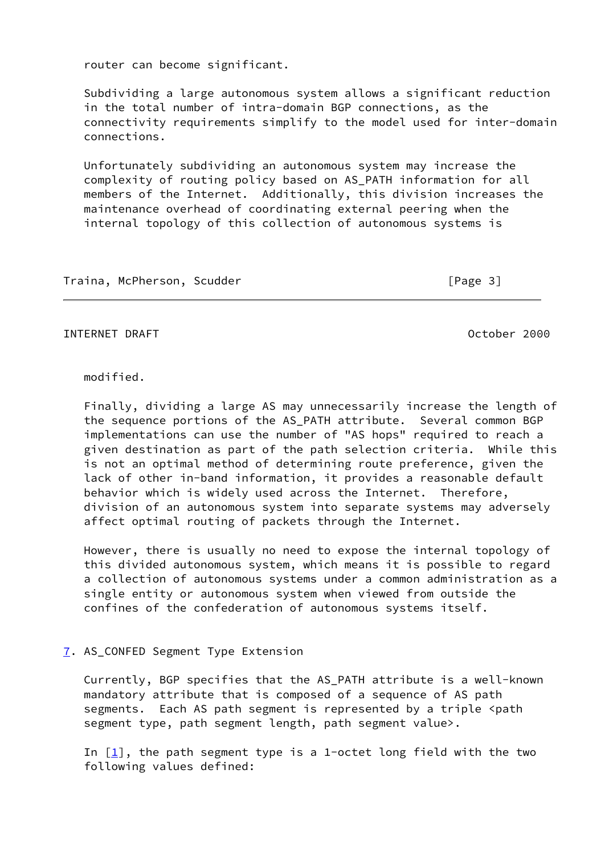router can become significant.

 Subdividing a large autonomous system allows a significant reduction in the total number of intra-domain BGP connections, as the connectivity requirements simplify to the model used for inter-domain connections.

 Unfortunately subdividing an autonomous system may increase the complexity of routing policy based on AS\_PATH information for all members of the Internet. Additionally, this division increases the maintenance overhead of coordinating external peering when the internal topology of this collection of autonomous systems is

Traina, McPherson, Scudder **compared in the Science of Traina**, McPherson, Scudder

INTERNET DRAFT October 2000

modified.

 Finally, dividing a large AS may unnecessarily increase the length of the sequence portions of the AS\_PATH attribute. Several common BGP implementations can use the number of "AS hops" required to reach a given destination as part of the path selection criteria. While this is not an optimal method of determining route preference, given the lack of other in-band information, it provides a reasonable default behavior which is widely used across the Internet. Therefore, division of an autonomous system into separate systems may adversely affect optimal routing of packets through the Internet.

 However, there is usually no need to expose the internal topology of this divided autonomous system, which means it is possible to regard a collection of autonomous systems under a common administration as a single entity or autonomous system when viewed from outside the confines of the confederation of autonomous systems itself.

# <span id="page-3-0"></span>[7](#page-3-0). AS\_CONFED Segment Type Extension

 Currently, BGP specifies that the AS\_PATH attribute is a well-known mandatory attribute that is composed of a sequence of AS path segments. Each AS path segment is represented by a triple <path segment type, path segment length, path segment value>.

In  $[1]$  $[1]$ , the path segment type is a 1-octet long field with the two following values defined: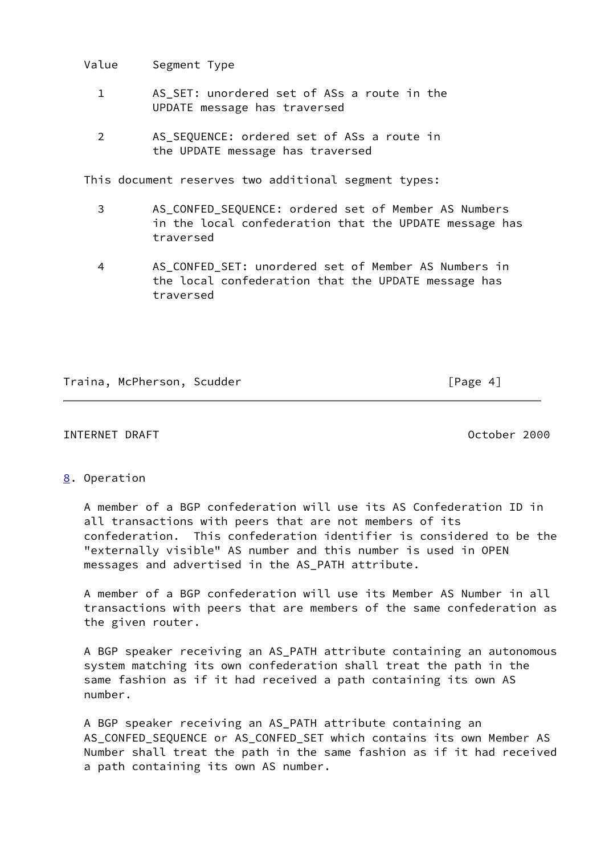Value Segment Type

- 1 AS SET: unordered set of ASs a route in the UPDATE message has traversed
- 2 AS SEQUENCE: ordered set of ASs a route in the UPDATE message has traversed

This document reserves two additional segment types:

- 3 AS\_CONFED\_SEQUENCE: ordered set of Member AS Numbers in the local confederation that the UPDATE message has traversed
- 4 AS\_CONFED\_SET: unordered set of Member AS Numbers in the local confederation that the UPDATE message has traversed

# Traina, McPherson, Scudder [Page 4]

# INTERNET DRAFT October 2000

# <span id="page-4-0"></span>[8](#page-4-0). Operation

 A member of a BGP confederation will use its AS Confederation ID in all transactions with peers that are not members of its confederation. This confederation identifier is considered to be the "externally visible" AS number and this number is used in OPEN messages and advertised in the AS\_PATH attribute.

 A member of a BGP confederation will use its Member AS Number in all transactions with peers that are members of the same confederation as the given router.

 A BGP speaker receiving an AS\_PATH attribute containing an autonomous system matching its own confederation shall treat the path in the same fashion as if it had received a path containing its own AS number.

 A BGP speaker receiving an AS\_PATH attribute containing an AS\_CONFED\_SEQUENCE or AS\_CONFED\_SET which contains its own Member AS Number shall treat the path in the same fashion as if it had received a path containing its own AS number.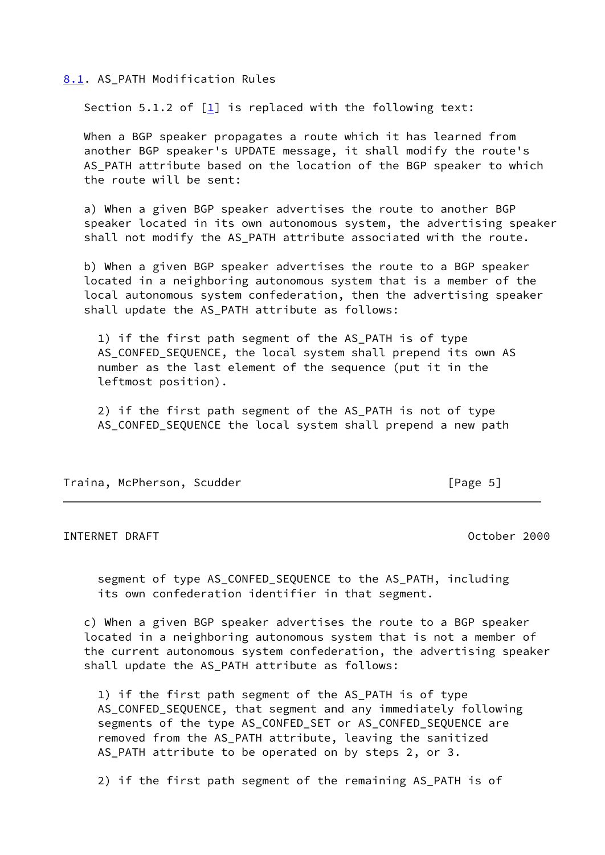<span id="page-5-0"></span>[8.1](#page-5-0). AS\_PATH Modification Rules

Section 5.1.2 of  $[1]$  is replaced with the following text:

 When a BGP speaker propagates a route which it has learned from another BGP speaker's UPDATE message, it shall modify the route's AS\_PATH attribute based on the location of the BGP speaker to which the route will be sent:

 a) When a given BGP speaker advertises the route to another BGP speaker located in its own autonomous system, the advertising speaker shall not modify the AS\_PATH attribute associated with the route.

 b) When a given BGP speaker advertises the route to a BGP speaker located in a neighboring autonomous system that is a member of the local autonomous system confederation, then the advertising speaker shall update the AS\_PATH attribute as follows:

 1) if the first path segment of the AS\_PATH is of type AS\_CONFED\_SEQUENCE, the local system shall prepend its own AS number as the last element of the sequence (put it in the leftmost position).

 2) if the first path segment of the AS\_PATH is not of type AS\_CONFED\_SEQUENCE the local system shall prepend a new path

Traina, McPherson, Scudder [Page 5]

INTERNET DRAFT October 2000

 segment of type AS\_CONFED\_SEQUENCE to the AS\_PATH, including its own confederation identifier in that segment.

 c) When a given BGP speaker advertises the route to a BGP speaker located in a neighboring autonomous system that is not a member of the current autonomous system confederation, the advertising speaker shall update the AS\_PATH attribute as follows:

 1) if the first path segment of the AS\_PATH is of type AS CONFED SEQUENCE, that segment and any immediately following segments of the type AS\_CONFED\_SET or AS\_CONFED\_SEQUENCE are removed from the AS\_PATH attribute, leaving the sanitized AS\_PATH attribute to be operated on by steps 2, or 3.

2) if the first path segment of the remaining AS\_PATH is of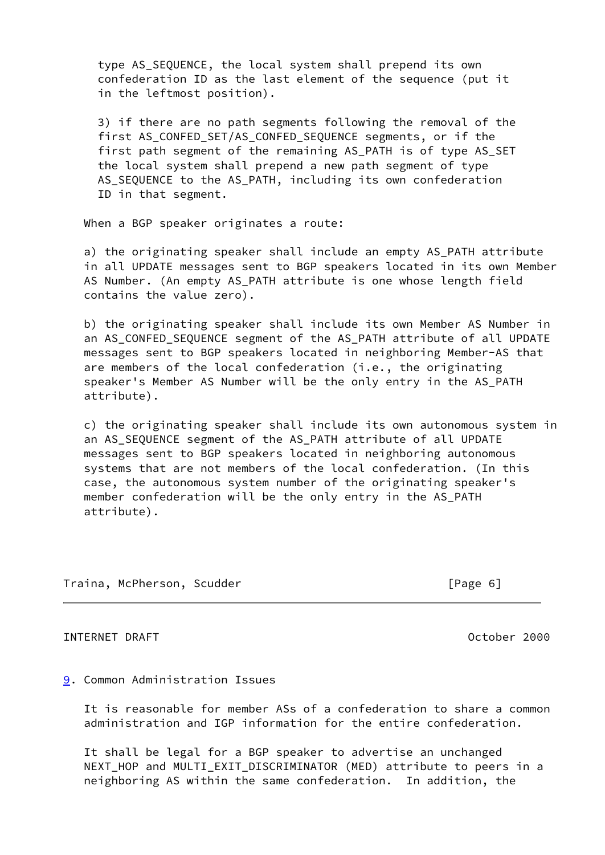type AS\_SEQUENCE, the local system shall prepend its own confederation ID as the last element of the sequence (put it in the leftmost position).

 3) if there are no path segments following the removal of the first AS\_CONFED\_SET/AS\_CONFED\_SEQUENCE segments, or if the first path segment of the remaining AS PATH is of type AS SET the local system shall prepend a new path segment of type AS\_SEQUENCE to the AS\_PATH, including its own confederation ID in that segment.

When a BGP speaker originates a route:

 a) the originating speaker shall include an empty AS\_PATH attribute in all UPDATE messages sent to BGP speakers located in its own Member AS Number. (An empty AS\_PATH attribute is one whose length field contains the value zero).

 b) the originating speaker shall include its own Member AS Number in an AS\_CONFED\_SEQUENCE segment of the AS\_PATH attribute of all UPDATE messages sent to BGP speakers located in neighboring Member-AS that are members of the local confederation (i.e., the originating speaker's Member AS Number will be the only entry in the AS\_PATH attribute).

 c) the originating speaker shall include its own autonomous system in an AS\_SEQUENCE segment of the AS\_PATH attribute of all UPDATE messages sent to BGP speakers located in neighboring autonomous systems that are not members of the local confederation. (In this case, the autonomous system number of the originating speaker's member confederation will be the only entry in the AS\_PATH attribute).

Traina, McPherson, Scudder [Page 6]

INTERNET DRAFT October 2000

## <span id="page-6-0"></span>[9](#page-6-0). Common Administration Issues

 It is reasonable for member ASs of a confederation to share a common administration and IGP information for the entire confederation.

 It shall be legal for a BGP speaker to advertise an unchanged NEXT\_HOP and MULTI\_EXIT\_DISCRIMINATOR (MED) attribute to peers in a neighboring AS within the same confederation. In addition, the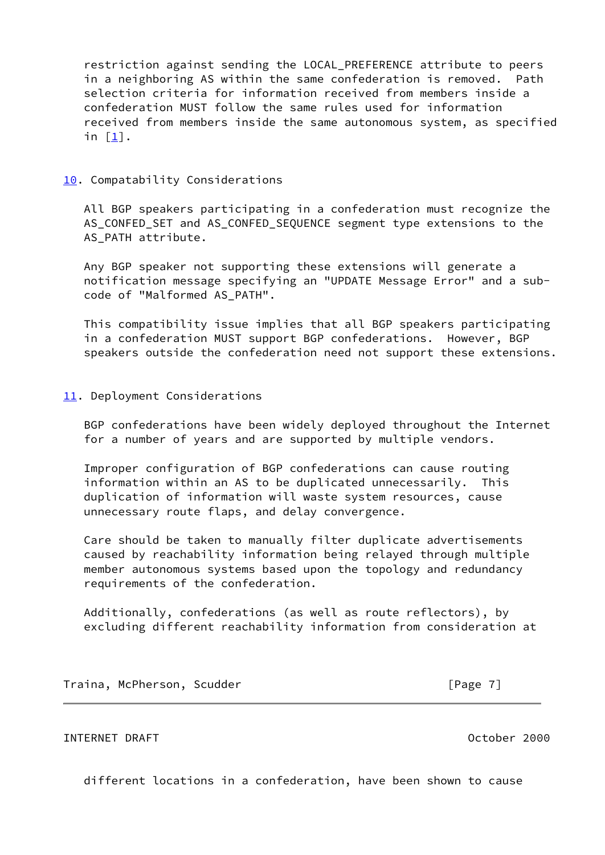restriction against sending the LOCAL\_PREFERENCE attribute to peers in a neighboring AS within the same confederation is removed. Path selection criteria for information received from members inside a confederation MUST follow the same rules used for information received from members inside the same autonomous system, as specified in [[1\]](#page-9-0).

## <span id="page-7-0"></span>[10.](#page-7-0) Compatability Considerations

 All BGP speakers participating in a confederation must recognize the AS\_CONFED\_SET and AS\_CONFED\_SEQUENCE segment type extensions to the AS PATH attribute.

 Any BGP speaker not supporting these extensions will generate a notification message specifying an "UPDATE Message Error" and a sub code of "Malformed AS\_PATH".

 This compatibility issue implies that all BGP speakers participating in a confederation MUST support BGP confederations. However, BGP speakers outside the confederation need not support these extensions.

# <span id="page-7-1"></span>[11.](#page-7-1) Deployment Considerations

 BGP confederations have been widely deployed throughout the Internet for a number of years and are supported by multiple vendors.

 Improper configuration of BGP confederations can cause routing information within an AS to be duplicated unnecessarily. This duplication of information will waste system resources, cause unnecessary route flaps, and delay convergence.

 Care should be taken to manually filter duplicate advertisements caused by reachability information being relayed through multiple member autonomous systems based upon the topology and redundancy requirements of the confederation.

 Additionally, confederations (as well as route reflectors), by excluding different reachability information from consideration at

Traina, McPherson, Scudder [Page 7]

# INTERNET DRAFT October 2000

different locations in a confederation, have been shown to cause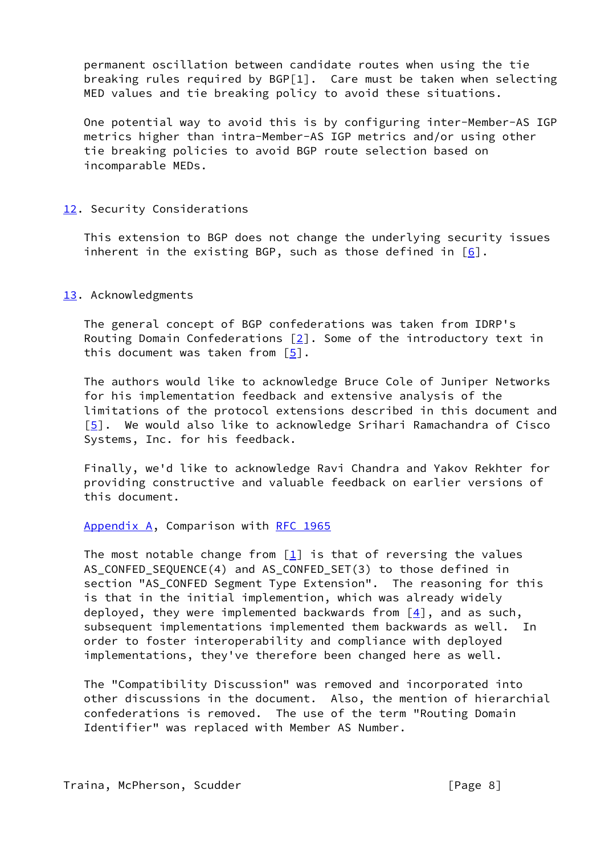permanent oscillation between candidate routes when using the tie breaking rules required by BGP[1]. Care must be taken when selecting MED values and tie breaking policy to avoid these situations.

 One potential way to avoid this is by configuring inter-Member-AS IGP metrics higher than intra-Member-AS IGP metrics and/or using other tie breaking policies to avoid BGP route selection based on incomparable MEDs.

## <span id="page-8-0"></span>[12.](#page-8-0) Security Considerations

 This extension to BGP does not change the underlying security issues inherent in the existing BGP, such as those defined in  $[6]$  $[6]$ .

## <span id="page-8-1"></span>[13.](#page-8-1) Acknowledgments

 The general concept of BGP confederations was taken from IDRP's Routing Domain Confederations  $[2]$  $[2]$ . Some of the introductory text in this document was taken from [\[5\]](#page-9-2).

 The authors would like to acknowledge Bruce Cole of Juniper Networks for his implementation feedback and extensive analysis of the limitations of the protocol extensions described in this document and [\[5](#page-9-2)]. We would also like to acknowledge Srihari Ramachandra of Cisco Systems, Inc. for his feedback.

 Finally, we'd like to acknowledge Ravi Chandra and Yakov Rekhter for providing constructive and valuable feedback on earlier versions of this document.

### Appendix A, Comparison with [RFC 1965](https://datatracker.ietf.org/doc/pdf/rfc1965)

The most notable change from  $[1]$  is that of reversing the values AS\_CONFED\_SEQUENCE(4) and AS\_CONFED\_SET(3) to those defined in section "AS\_CONFED Segment Type Extension". The reasoning for this is that in the initial implemention, which was already widely deployed, they were implemented backwards from  $[4]$  $[4]$ , and as such, subsequent implementations implemented them backwards as well. In order to foster interoperability and compliance with deployed implementations, they've therefore been changed here as well.

 The "Compatibility Discussion" was removed and incorporated into other discussions in the document. Also, the mention of hierarchial confederations is removed. The use of the term "Routing Domain Identifier" was replaced with Member AS Number.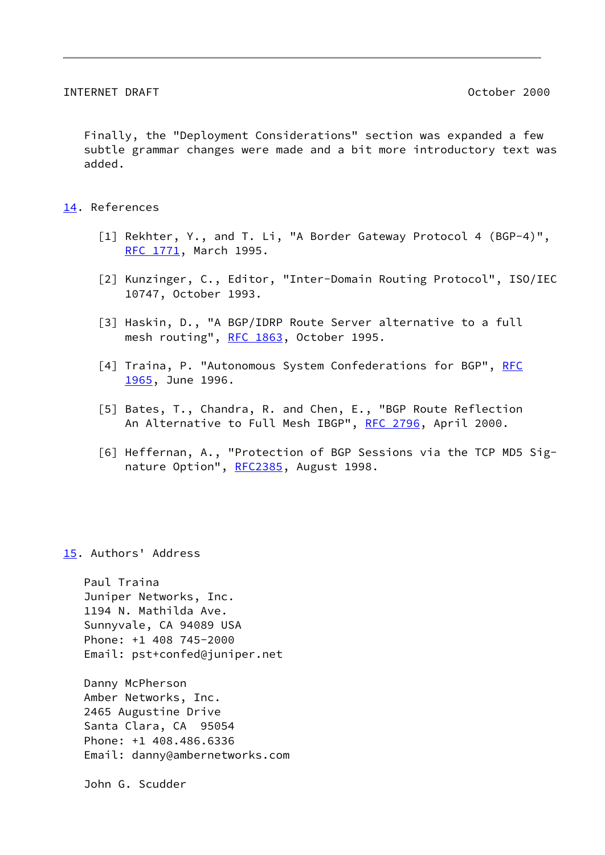Finally, the "Deployment Considerations" section was expanded a few subtle grammar changes were made and a bit more introductory text was added.

### <span id="page-9-6"></span>[14.](#page-9-6) References

- <span id="page-9-0"></span> [1] Rekhter, Y., and T. Li, "A Border Gateway Protocol 4 (BGP-4)", [RFC 1771](https://datatracker.ietf.org/doc/pdf/rfc1771), March 1995.
- <span id="page-9-5"></span> [2] Kunzinger, C., Editor, "Inter-Domain Routing Protocol", ISO/IEC 10747, October 1993.
- <span id="page-9-1"></span> [3] Haskin, D., "A BGP/IDRP Route Server alternative to a full mesh routing", [RFC 1863](https://datatracker.ietf.org/doc/pdf/rfc1863), October 1995.
- <span id="page-9-3"></span>[4] Traina, P. "Autonomous System Confederations for BGP", [RFC](https://datatracker.ietf.org/doc/pdf/rfc1965) [1965](https://datatracker.ietf.org/doc/pdf/rfc1965), June 1996.
- <span id="page-9-2"></span> [5] Bates, T., Chandra, R. and Chen, E., "BGP Route Reflection An Alternative to Full Mesh IBGP", [RFC 2796](https://datatracker.ietf.org/doc/pdf/rfc2796), April 2000.
- <span id="page-9-4"></span> [6] Heffernan, A., "Protection of BGP Sessions via the TCP MD5 Sig- nature Option", [RFC2385](https://datatracker.ietf.org/doc/pdf/rfc2385), August 1998.

<span id="page-9-7"></span>[15.](#page-9-7) Authors' Address

 Paul Traina Juniper Networks, Inc. 1194 N. Mathilda Ave. Sunnyvale, CA 94089 USA Phone: +1 408 745-2000 Email: pst+confed@juniper.net

 Danny McPherson Amber Networks, Inc. 2465 Augustine Drive Santa Clara, CA 95054 Phone: +1 408.486.6336 Email: danny@ambernetworks.com

John G. Scudder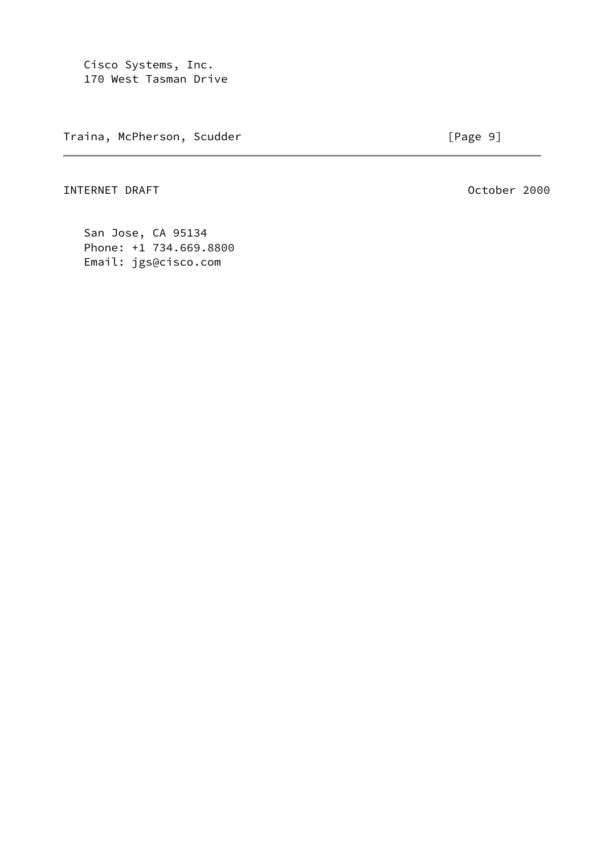Cisco Systems, Inc. 170 West Tasman Drive

Traina, McPherson, Scudder (Page 9)

INTERNET DRAFT October 2000

 San Jose, CA 95134 Phone: +1 734.669.8800 Email: jgs@cisco.com